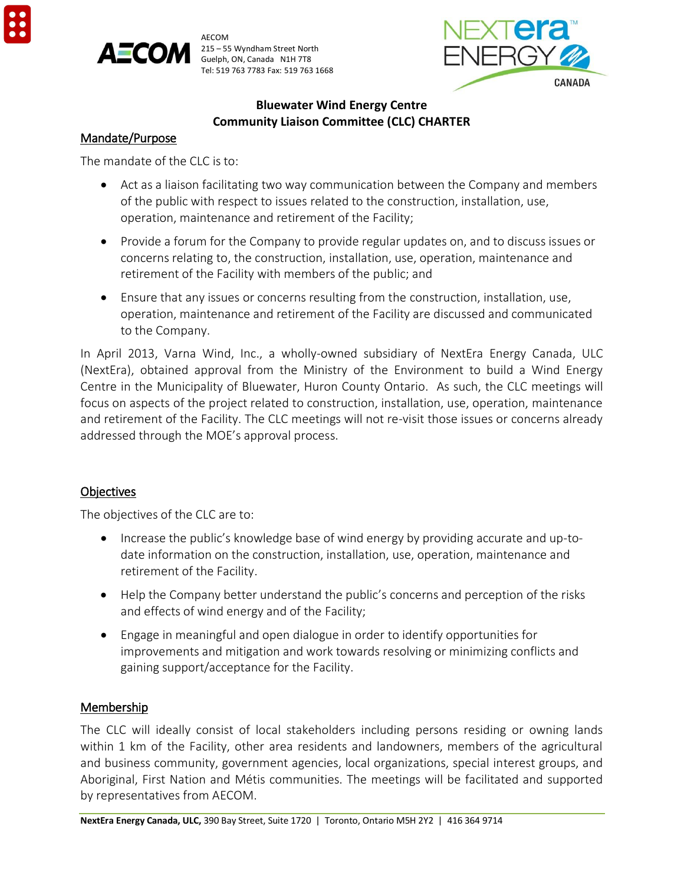

AECOM  $215 - 55$  Wyndham Street North Guelph, ON, Canada N1H 7T8 Tel: 519 763 7783 Fax: 519 763 1668



#### **Bluewater Wind Energy Centre Community Liaison Committee (CLC) CHARTER**

#### Mandate/Purpose

The mandate of the CLC is to:

- Act as a liaison facilitating two way communication between the Company and members of the public with respect to issues related to the construction, installation, use, operation, maintenance and retirement of the Facility;
- Provide a forum for the Company to provide regular updates on, and to discuss issues or concerns relating to, the construction, installation, use, operation, maintenance and retirement of the Facility with members of the public; and
- Ensure that any issues or concerns resulting from the construction, installation, use, operation, maintenance and retirement of the Facility are discussed and communicated to the Company.

In April 2013, Varna Wind, Inc., a wholly-owned subsidiary of NextEra Energy Canada, ULC (NextEra), obtained approval from the Ministry of the Environment to build a Wind Energy Centre in the Municipality of Bluewater, Huron County Ontario. As such, the CLC meetings will focus on aspects of the project related to construction, installation, use, operation, maintenance and retirement of the Facility. The CLC meetings will not re-visit those issues or concerns already addressed through the MOE's approval process.

## **Objectives**

The objectives of the CLC are to:

- Increase the public's knowledge base of wind energy by providing accurate and up-todate information on the construction, installation, use, operation, maintenance and retirement of the Facility.
- Help the Company better understand the public's concerns and perception of the risks and effects of wind energy and of the Facility;
- Engage in meaningful and open dialogue in order to identify opportunities for improvements and mitigation and work towards resolving or minimizing conflicts and gaining support/acceptance for the Facility.

## Membership

The CLC will ideally consist of local stakeholders including persons residing or owning lands within 1 km of the Facility, other area residents and landowners, members of the agricultural and business community, government agencies, local organizations, special interest groups, and Aboriginal, First Nation and Métis communities. The meetings will be facilitated and supported by representatives from AECOM.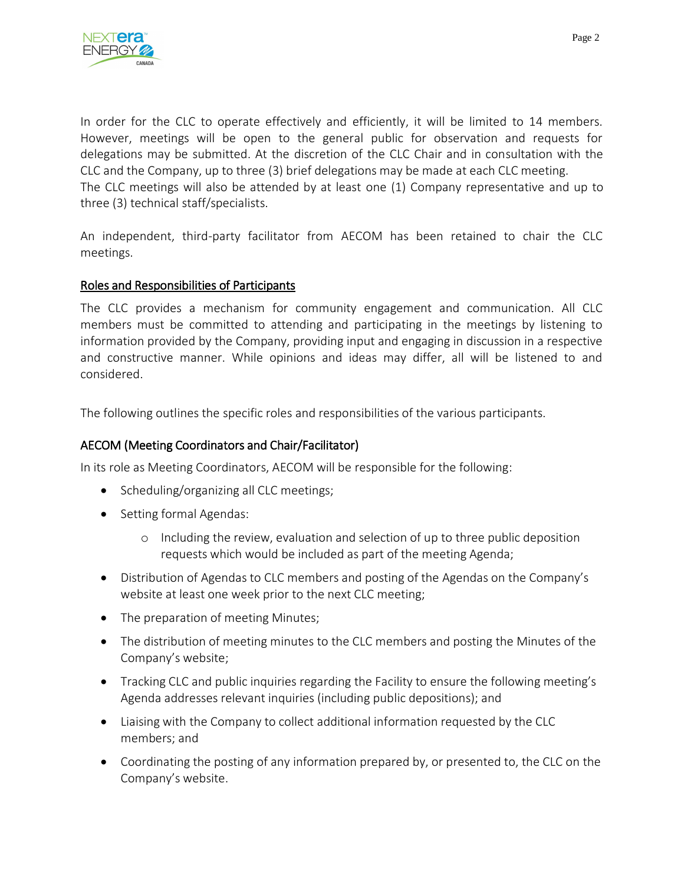

In order for the CLC to operate effectively and efficiently, it will be limited to 14 members. However, meetings will be open to the general public for observation and requests for delegations may be submitted. At the discretion of the CLC Chair and in consultation with the CLC and the Company, up to three (3) brief delegations may be made at each CLC meeting. The CLC meetings will also be attended by at least one (1) Company representative and up to three (3) technical staff/specialists.

An independent, third-party facilitator from AECOM has been retained to chair the CLC meetings.

#### Roles and Responsibilities of Participants

The CLC provides a mechanism for community engagement and communication. All CLC members must be committed to attending and participating in the meetings by listening to information provided by the Company, providing input and engaging in discussion in a respective and constructive manner. While opinions and ideas may differ, all will be listened to and considered.

The following outlines the specific roles and responsibilities of the various participants.

## AECOM (Meeting Coordinators and Chair/Facilitator)

In its role as Meeting Coordinators, AECOM will be responsible for the following:

- Scheduling/organizing all CLC meetings;
- Setting formal Agendas:
	- o Including the review, evaluation and selection of up to three public deposition requests which would be included as part of the meeting Agenda;
- Distribution of Agendas to CLC members and posting of the Agendas on the Company's website at least one week prior to the next CLC meeting;
- The preparation of meeting Minutes;
- The distribution of meeting minutes to the CLC members and posting the Minutes of the Company's website;
- Tracking CLC and public inquiries regarding the Facility to ensure the following meeting's Agenda addresses relevant inquiries (including public depositions); and
- Liaising with the Company to collect additional information requested by the CLC members; and
- Coordinating the posting of any information prepared by, or presented to, the CLC on the Company's website.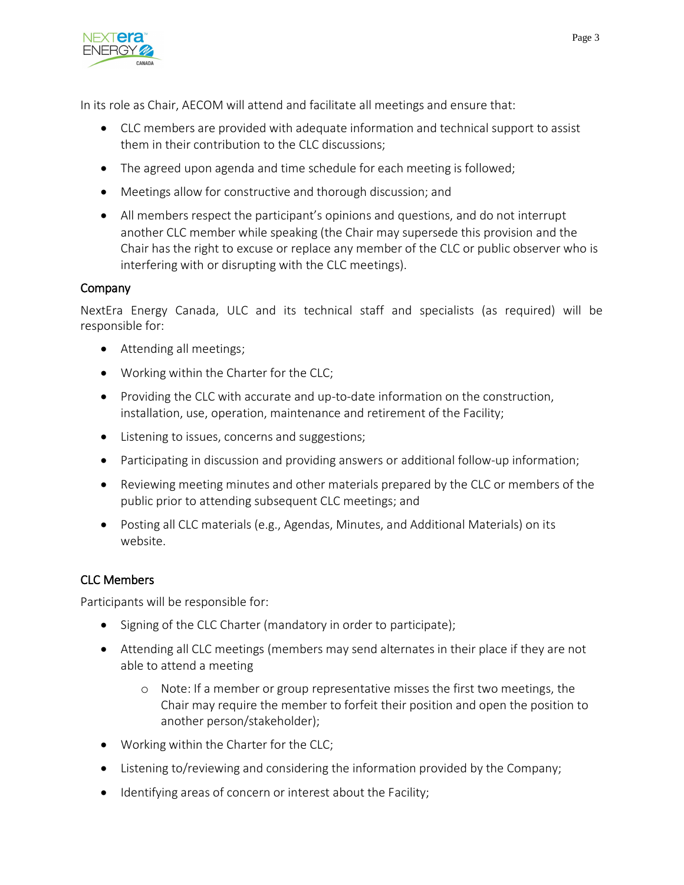

In its role as Chair, AECOM will attend and facilitate all meetings and ensure that:

- CLC members are provided with adequate information and technical support to assist them in their contribution to the CLC discussions;
- The agreed upon agenda and time schedule for each meeting is followed;
- Meetings allow for constructive and thorough discussion; and
- All members respect the participant's opinions and questions, and do not interrupt another CLC member while speaking (the Chair may supersede this provision and the Chair has the right to excuse or replace any member of the CLC or public observer who is interfering with or disrupting with the CLC meetings).

## **Company**

NextEra Energy Canada, ULC and its technical staff and specialists (as required) will be responsible for:

- Attending all meetings;
- Working within the Charter for the CLC;
- Providing the CLC with accurate and up-to-date information on the construction, installation, use, operation, maintenance and retirement of the Facility;
- Listening to issues, concerns and suggestions;
- Participating in discussion and providing answers or additional follow-up information;
- Reviewing meeting minutes and other materials prepared by the CLC or members of the public prior to attending subsequent CLC meetings; and
- Posting all CLC materials (e.g., Agendas, Minutes, and Additional Materials) on its website.

## CLC Members

Participants will be responsible for:

- Signing of the CLC Charter (mandatory in order to participate);
- Attending all CLC meetings (members may send alternates in their place if they are not able to attend a meeting
	- o Note: If a member or group representative misses the first two meetings, the Chair may require the member to forfeit their position and open the position to another person/stakeholder);
- Working within the Charter for the CLC;
- Listening to/reviewing and considering the information provided by the Company;
- Identifying areas of concern or interest about the Facility;